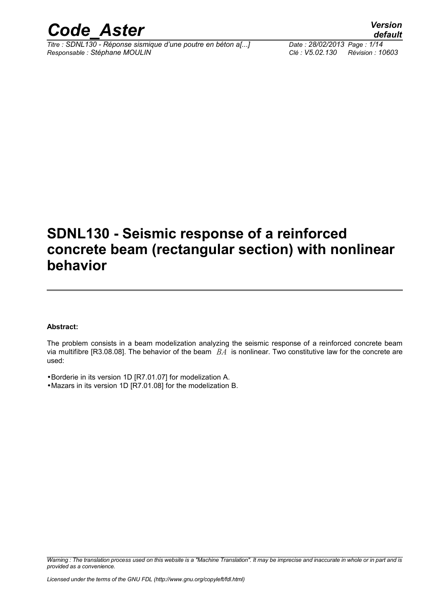

*Titre : SDNL130 - Réponse sismique d'une poutre en béton a[...] Date : 28/02/2013 Page : 1/14 Responsable : Stéphane MOULIN Clé : V5.02.130 Révision : 10603*

# **SDNL130 - Seismic response of a reinforced concrete beam (rectangular section) with nonlinear**

# **behavior**

#### **Abstract:**

The problem consists in a beam modelization analyzing the seismic response of a reinforced concrete beam via multifibre [R3.08.08]. The behavior of the beam *BA* is nonlinear. Two constitutive law for the concrete are used:

•Borderie in its version 1D [R7.01.07] for modelization A.

•Mazars in its version 1D [R7.01.08] for the modelization B.

*Warning : The translation process used on this website is a "Machine Translation". It may be imprecise and inaccurate in whole or in part and is provided as a convenience.*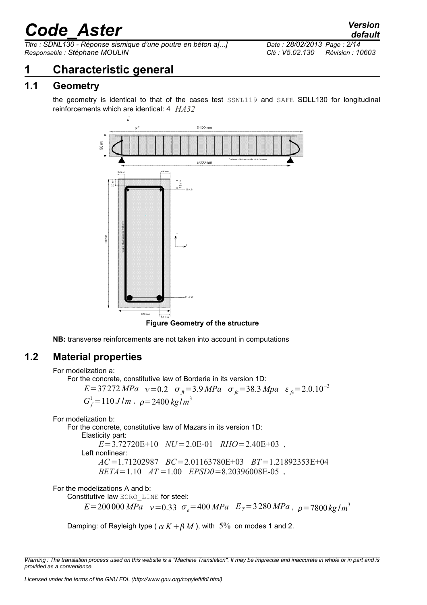*Titre : SDNL130 - Réponse sismique d'une poutre en béton a[...] Date : 28/02/2013 Page : 2/14 Responsable : Stéphane MOULIN Clé : V5.02.130 Révision : 10603*

## **1 Characteristic general**

### **1.1 Geometry**

the geometry is identical to that of the cases test SSNL119 and SAFE SDLL130 for longitudinal reinforcements which are identical: 4 *HA32*



**NB:** transverse reinforcements are not taken into account in computations

### **1.2 Material properties**

For the concrete, constitutive law of Borderie in its version 1D:

 $E=37272 MPa$   $v=0.2$   $\sigma_{\theta}=3.9 MPa$   $\sigma_{\theta}=38.3 MPa$   $\varepsilon_{\theta}=2.0.10^{-3}$  $G_f^1 = 110 J/m$ ,  $\rho = 2400 kg/m^3$ 

For modelization b:

For the concrete, constitutive law of Mazars in its version 1D:

Elasticity part:

*E*=3.72720E+10 *NU*=2.0E-01 *RHO*=2.40E+03 ,

Left nonlinear:

*AC*=1.71202987 *BC*=2.01163780E+03 *BT*=1.21892353E+04 *BETA*=1.10 *AT* =1.00 *EPSD0*=8.20396008E-05 ,

For the modelizations A and b:

Constitutive law ECRO\_LINE for steel:

 $E = 200000 \, MPa \quad v = 0.33 \quad \sigma_e = 400 \, MPa \quad E_T = 3280 \, MPa \quad \rho = 7800 \, kg/m^3$ 

Damping: of Rayleigh type ( $\alpha K + \beta M$ ), with 5% on modes 1 and 2.

*Warning : The translation process used on this website is a "Machine Translation". It may be imprecise and inaccurate in whole or in part and is provided as a convenience.*

For modelization a: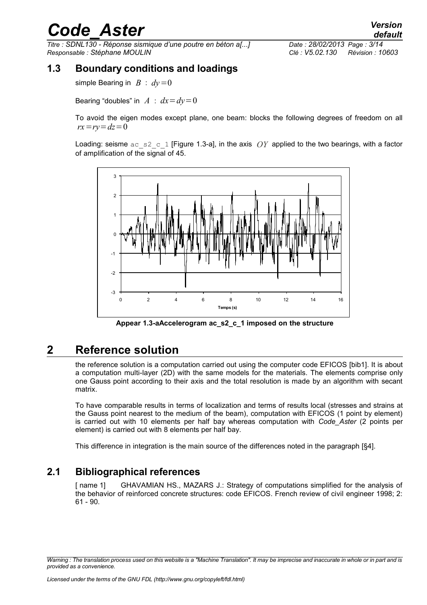*Titre : SDNL130 - Réponse sismique d'une poutre en béton a[...] Date : 28/02/2013 Page : 3/14 Responsable : Stéphane MOULIN Clé : V5.02.130 Révision : 10603*

### **1.3 Boundary conditions and loadings**

simple Bearing in  $B : dv = 0$ 

Bearing "doubles" in  $A : dx = dy = 0$ 

To avoid the eigen modes except plane, one beam: blocks the following degrees of freedom on all  $rx = rv = dz = 0$ 

Loading: seisme  $ac\_s2\_c$  1 [Figure [1.3-a\]](#page-2-0), in the axis  $OY$  applied to the two bearings, with a factor of amplification of the signal of 45.



<span id="page-2-0"></span>**Appear 1.3-aAccelerogram ac\_s2\_c\_1 imposed on the structure**

### **2 Reference solution**

the reference solution is a computation carried out using the computer code EFICOS [bib1]. It is about a computation multi-layer (2D) with the same models for the materials. The elements comprise only one Gauss point according to their axis and the total resolution is made by an algorithm with secant matrix.

To have comparable results in terms of localization and terms of results local (stresses and strains at the Gauss point nearest to the medium of the beam), computation with EFICOS (1 point by element) is carried out with 10 elements per half bay whereas computation with *Code\_Aster* (2 points per element) is carried out with 8 elements per half bay.

This difference in integration is the main source of the differences noted in the paragraph [§4].

### **2.1 Bibliographical references**

[ name 1] GHAVAMIAN HS., MAZARS J.: Strategy of computations simplified for the analysis of the behavior of reinforced concrete structures: code EFICOS. French review of civil engineer 1998; 2: 61 - 90.

*Warning : The translation process used on this website is a "Machine Translation". It may be imprecise and inaccurate in whole or in part and is provided as a convenience.*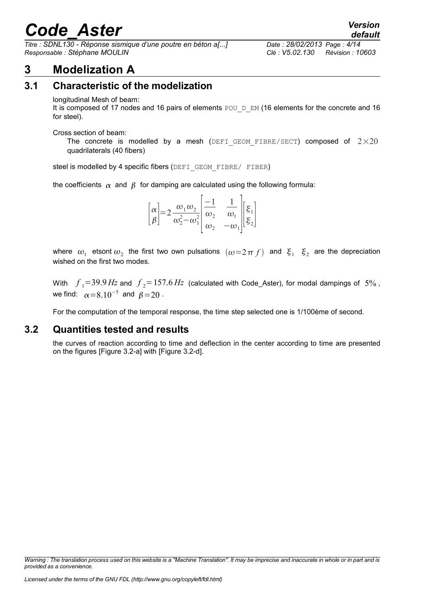*Titre : SDNL130 - Réponse sismique d'une poutre en béton a[...] Date : 28/02/2013 Page : 4/14 Responsable : Stéphane MOULIN Clé : V5.02.130 Révision : 10603*

# **3 Modelization A**

### **3.1 Characteristic of the modelization**

#### longitudinal Mesh of beam:

It is composed of 17 nodes and 16 pairs of elements POU\_D\_EM (16 elements for the concrete and 16 for steel).

Cross section of beam:

The concrete is modelled by a mesh (DEFI GEOM FIBRE/SECT) composed of  $2\times20$ quadrilaterals (40 fibers)

steel is modelled by 4 specific fibers (DEFI\_GEOM\_FIBRE/ FIBER)

the coefficients  $\alpha$  and  $\beta$  for damping are calculated using the following formula:

| $\left[\alpha\right]_{\alpha=2} \frac{\omega_1 \omega_2}{\omega_1}$<br>$ \beta $<br>$\frac{2}{\omega_2^2-\omega_1^2}$ | $\left  \frac{\overline{\omega}_2}{\omega_1} \right  \frac{\omega_2}{\omega_2} - \frac{\omega_1}{\omega_1} \left  \xi_2 \right $ |  |
|-----------------------------------------------------------------------------------------------------------------------|----------------------------------------------------------------------------------------------------------------------------------|--|
|-----------------------------------------------------------------------------------------------------------------------|----------------------------------------------------------------------------------------------------------------------------------|--|

where  $\omega_1$  etsont  $\omega_2$  the first two own pulsations  $(\omega = 2 \pi f)$  and  $\xi_1$   $\xi_2$  are the depreciation wished on the first two modes.

With  $f_1 = 39.9$   $Hz$  and  $f_2 = 157.6$   $Hz$  (calculated with Code\_Aster), for modal dampings of  $5\%$ , we find:  $\alpha = 8.10^{-5}$  and  $\beta = 20$ .

For the computation of the temporal response, the time step selected one is 1/100ème of second.

#### **3.2 Quantities tested and results**

the curves of reaction according to time and deflection in the center according to time are presented on the figures [Figure [3.2-a\]](#page-4-0) with [Figure [3.2-d\]](#page-7-0).

*Warning : The translation process used on this website is a "Machine Translation". It may be imprecise and inaccurate in whole or in part and is provided as a convenience.*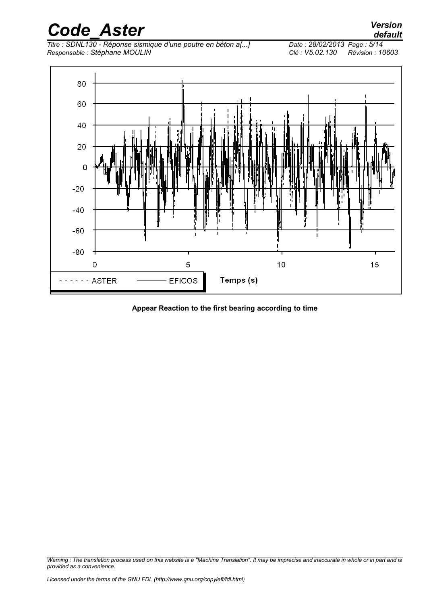*Titre : SDNL130 - Réponse sismique d'une poutre en béton a[...] Date : 28/02/2013 Page : 5/14 Responsable : Stéphane MOULIN Clé : V5.02.130 Révision : 10603*



<span id="page-4-0"></span>**Appear Reaction to the first bearing according to time**

*Warning : The translation process used on this website is a "Machine Translation". It may be imprecise and inaccurate in whole or in part and is provided as a convenience.*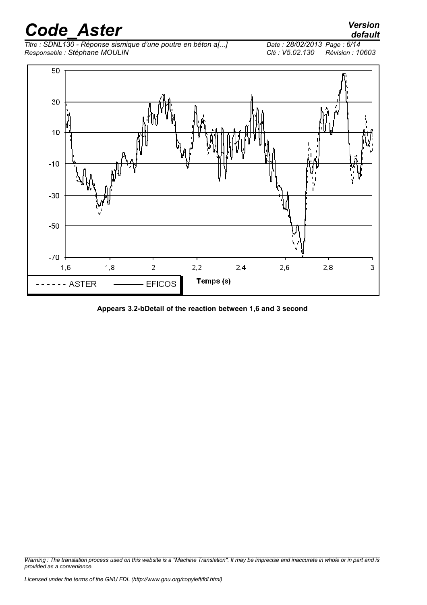*Titre : SDNL130 - Réponse sismique d'une poutre en béton a[...] Date : 28/02/2013 Page : 6/14 Responsable : Stéphane MOULIN Clé : V5.02.130 Révision : 10603*

*default*



**Appears 3.2-bDetail of the reaction between 1,6 and 3 second**

*Warning : The translation process used on this website is a "Machine Translation". It may be imprecise and inaccurate in whole or in part and is provided as a convenience.*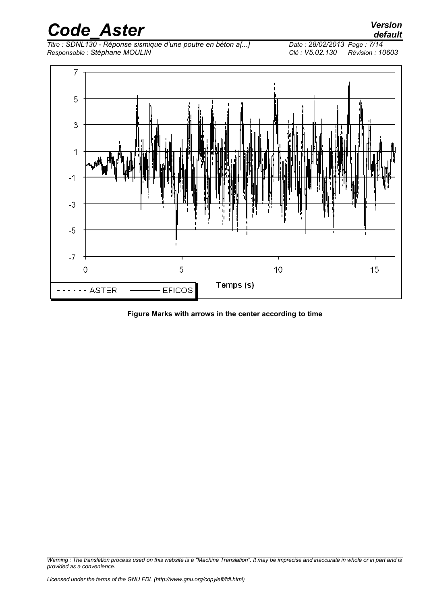*Code\_Aster Version Titre : SDNL130 - Réponse sismique d'une poutre en béton a[...] Date : 28/02/2013 Page : 7/14 Responsable : Stéphane MOULIN Clé : V5.02.130 Révision : 10603*



#### **Figure Marks with arrows in the center according to time**

*Warning : The translation process used on this website is a "Machine Translation". It may be imprecise and inaccurate in whole or in part and is provided as a convenience.*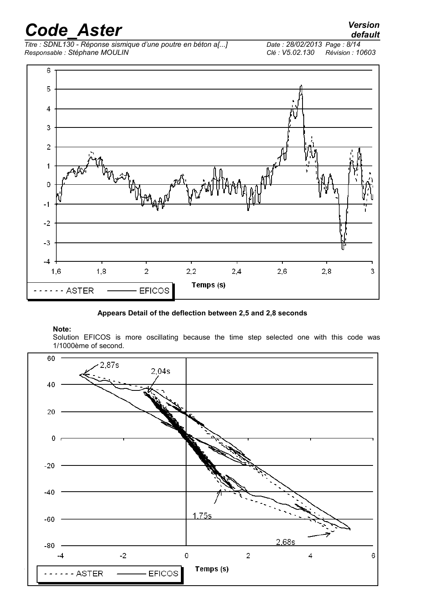# *Code\_Aster Version*<br>default<br>Titre : SDNL130 - Réponse sismique d'une poutre en béton a[...] Date : 28/02/2013 Page : 8/14

*Titre : SDNL130 - Réponse sismique d'une poutre en béton a[...] Date : 28/02/2013 Page : 8/14 Responsable : Stéphane MOULIN Clé : V5.02.130 Révision : 10603*



#### <span id="page-7-0"></span>**Appears Detail of the deflection between 2,5 and 2,8 seconds**

#### **Note:**

Solution EFICOS is more oscillating because the time step selected one with this code was 1/1000ème of second.



*default*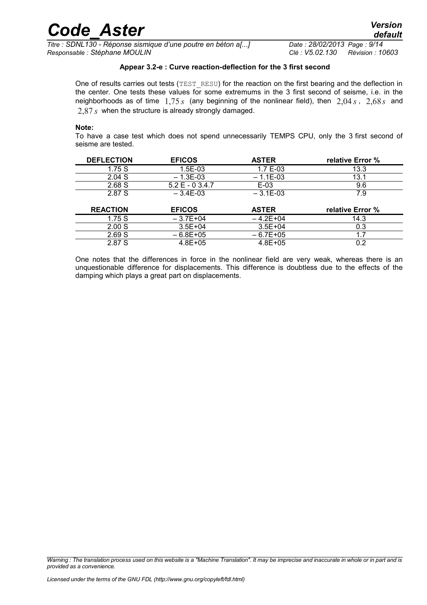*Titre : SDNL130 - Réponse sismique d'une poutre en béton a[...] Date : 28/02/2013 Page : 9/14 Responsable : Stéphane MOULIN Clé : V5.02.130 Révision : 10603*

#### **Appear 3.2-e : Curve reaction-deflection for the 3 first second**

One of results carries out tests (TEST\_RESU) for the reaction on the first bearing and the deflection in the center. One tests these values for some extremums in the 3 first second of seisme, i.e. in the neighborhoods as of time 1,75 *s* (any beginning of the nonlinear field), then 2,04 *s* , 2,68*s* and 2,87 *s* when the structure is already strongly damaged.

#### **Note:**

To have a case test which does not spend unnecessarily TEMPS CPU, only the 3 first second of seisme are tested.

| <b>DEFLECTION</b> | <b>EFICOS</b>     | <b>ASTER</b> | relative Error % |
|-------------------|-------------------|--------------|------------------|
| 1.75 S            | $1.5E-0.3$        | $1.7E - 0.3$ | 13.3             |
| 2.04 S            | $-1.3E-0.3$       | $-1.1E-0.3$  | 13.1             |
| 2.68S             | $5.2 E - 0.3.4.7$ | E-03         | 9.6              |
| 2.87 S            | $-3.4F-0.3$       | $-3.1$ E-03  | 7.9              |

| <b>REACTION</b> | <b>EFICOS</b> | <b>ASTER</b> | relative Error % |
|-----------------|---------------|--------------|------------------|
| 1.75S           | $-3.7E+04$    | $-4.2F+04$   | 14.3             |
| 2.00 S          | $3.5E + 04$   | $3.5E + 04$  | 0.3              |
| 2.69 S          | $-6.8E + 0.5$ | $-6.7F+0.5$  |                  |
| 2.87 S          | $4.8F + 0.5$  | $4.8F + 0.5$ |                  |

One notes that the differences in force in the nonlinear field are very weak, whereas there is an unquestionable difference for displacements. This difference is doubtless due to the effects of the damping which plays a great part on displacements.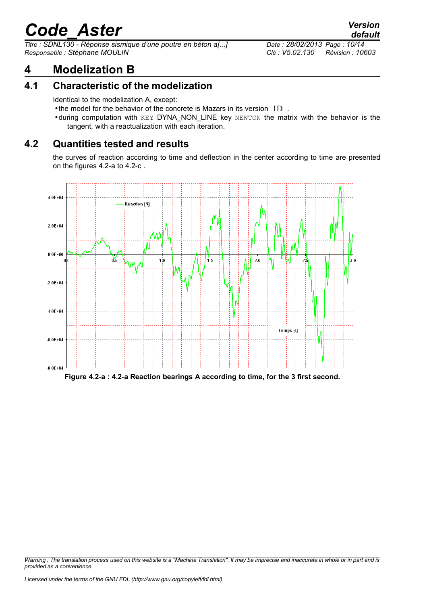*Titre : SDNL130 - Réponse sismique d'une poutre en béton a[...] Date : 28/02/2013 Page : 10/14 Responsable : Stéphane MOULIN Clé : V5.02.130 Révision : 10603*

# **4 Modelization B**

### **4.1 Characteristic of the modelization**

Identical to the modelization A, except:

- •the model for the behavior of the concrete is Mazars in its version  $1D$ .
- •during computation with KEY DYNA\_NON\_LINE key NEWTON the matrix with the behavior is the tangent, with a reactualization with each iteration.

### **4.2 Quantities tested and results**

the curves of reaction according to time and deflection in the center according to time are presented on the figures [4.2-a](#page-9-0) to [4.2-c](#page-10-0) .



<span id="page-9-0"></span>**Figure 4.2-a : 4.2-a Reaction bearings A according to time, for the 3 first second.**

*Warning : The translation process used on this website is a "Machine Translation". It may be imprecise and inaccurate in whole or in part and is provided as a convenience.*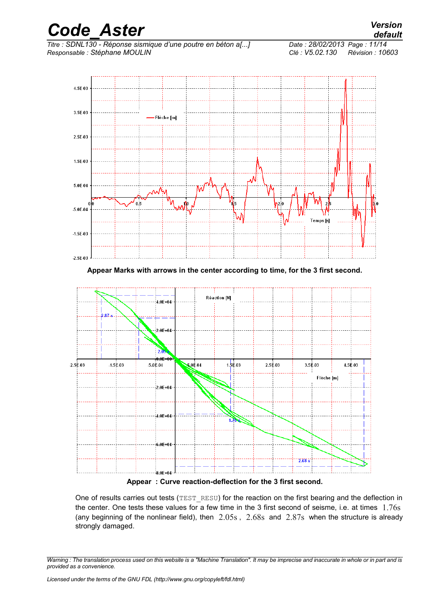

**Appear Marks with arrows in the center according to time, for the 3 first second.**



<span id="page-10-0"></span>**Appear : Curve reaction-deflection for the 3 first second.**

One of results carries out tests (TEST\_RESU) for the reaction on the first bearing and the deflection in the center. One tests these values for a few time in the 3 first second of seisme, i.e. at times 1.76s (any beginning of the nonlinear field), then 2.05s , 2.68s and 2.87s when the structure is already strongly damaged.

*Warning : The translation process used on this website is a "Machine Translation". It may be imprecise and inaccurate in whole or in part and is provided as a convenience.*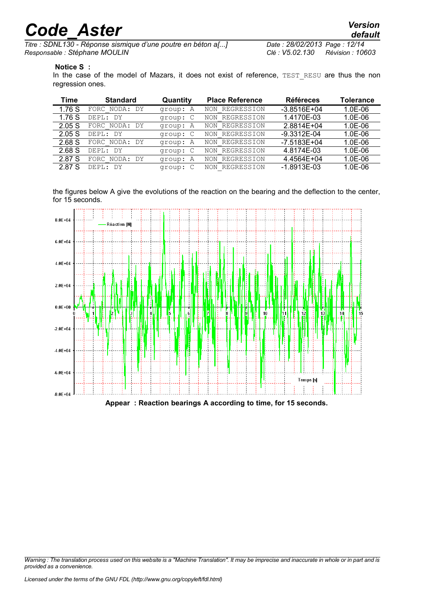*Titre : SDNL130 - Réponse sismique d'une poutre en béton a[...] Date : 28/02/2013 Page : 12/14 Responsable : Stéphane MOULIN Clé : V5.02.130 Révision : 10603*

#### **Notice S :**

In the case of the model of Mazars, it does not exist of reference, TEST\_RESU are thus the non regression ones.

| Time   | <b>Standard</b>            | Quantity | <b>Place Reference</b> | <b>Référeces</b> | Tolerance |
|--------|----------------------------|----------|------------------------|------------------|-----------|
| 1.76 S | NODA: DY<br>FORC           | group: A | NON REGRESSION         | $-3.8516E+04$    | $1.0E-06$ |
| 1.76S  | DEPL: DY                   | group: C | NON REGRESSION         | 1.4170E-03       | $1.0E-06$ |
| 2.05S  | NODA:<br>FORC<br>DY        | group: A | NON REGRESSION         | 2.8814E+04       | $1.0E-06$ |
| 2.05 S | DEPL:<br>. DY              | group: C | NON REGRESSION         | $-9.3312E - 04$  | $1.0E-06$ |
| 2.68 S | FORC NODA: DY              | group: A | NON REGRESSION         | $-7.5183E + 04$  | $1.0E-06$ |
| 2.68 S | DEPL: DY                   | group: C | NON REGRESSION         | 4.8174E-03       | $1.0E-06$ |
| 2.87 S | NODA:<br>FORC<br><b>DY</b> | group: A | NON REGRESSION         | 4.4564E+04       | $1.0E-06$ |
| 2.87 S | DEPL:<br>- DY              | group: C | NON REGRESSION         | $-1.8913E-03$    | $1.0E-06$ |

the figures below A give the evolutions of the reaction on the bearing and the deflection to the center, for 15 seconds.



*Warning : The translation process used on this website is a "Machine Translation". It may be imprecise and inaccurate in whole or in part and is provided as a convenience.*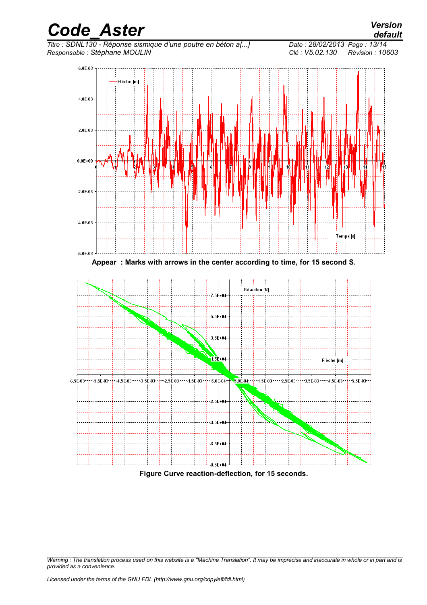

*Warning : The translation process used on this website is a "Machine Translation". It may be imprecise and inaccurate in whole or in part and is provided as a convenience.*